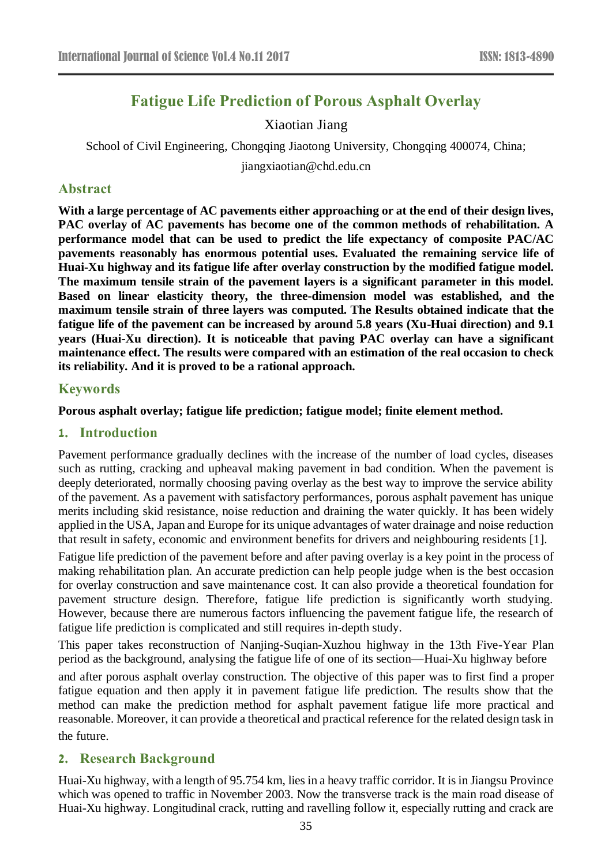# **Fatigue Life Prediction of Porous Asphalt Overlay**

## Xiaotian Jiang

School of Civil Engineering, Chongqing Jiaotong University, Chongqing 400074, China;

jiangxiaotian@chd.edu.cn

### **Abstract**

**With a large percentage of AC pavements either approaching or at the end of their design lives, PAC overlay of AC pavements has become one of the common methods of rehabilitation. A performance model that can be used to predict the life expectancy of composite PAC/AC pavements reasonably has enormous potential uses. Evaluated the remaining service life of Huai-Xu highway and its fatigue life after overlay construction by the modified fatigue model. The maximum tensile strain of the pavement layers is a significant parameter in this model. Based on linear elasticity theory, the three-dimension model was established, and the maximum tensile strain of three layers was computed. The Results obtained indicate that the fatigue life of the pavement can be increased by around 5.8 years (Xu-Huai direction) and 9.1 years (Huai-Xu direction). It is noticeable that paving PAC overlay can have a significant maintenance effect. The results were compared with an estimation of the real occasion to check its reliability. And it is proved to be a rational approach.**

### **Keywords**

### **Porous asphalt overlay; fatigue life prediction; fatigue model; finite element method.**

### **1. Introduction**

Pavement performance gradually declines with the increase of the number of load cycles, diseases such as rutting, cracking and upheaval making pavement in bad condition. When the pavement is deeply deteriorated, normally choosing paving overlay as the best way to improve the service ability of the pavement. As a pavement with satisfactory performances, porous asphalt pavement has unique merits including skid resistance, noise reduction and draining the water quickly. It has been widely applied in the USA, Japan and Europe for its unique advantages of water drainage and noise reduction that result in safety, economic and environment benefits for drivers and neighbouring residents [1].

Fatigue life prediction of the pavement before and after paving overlay is a key point in the process of making rehabilitation plan. An accurate prediction can help people judge when is the best occasion for overlay construction and save maintenance cost. It can also provide a theoretical foundation for pavement structure design. Therefore, fatigue life prediction is significantly worth studying. However, because there are numerous factors influencing the pavement fatigue life, the research of fatigue life prediction is complicated and still requires in-depth study.

This paper takes reconstruction of Nanjing-Suqian-Xuzhou highway in the 13th Five-Year Plan period as the background, analysing the fatigue life of one of its section—Huai-Xu highway before

and after porous asphalt overlay construction. The objective of this paper was to first find a proper fatigue equation and then apply it in pavement fatigue life prediction. The results show that the method can make the prediction method for asphalt pavement fatigue life more practical and reasonable. Moreover, it can provide a theoretical and practical reference for the related design task in the future.

### **2. Research Background**

Huai-Xu highway, with a length of 95.754 km, lies in a heavy traffic corridor. It is in Jiangsu Province which was opened to traffic in November 2003. Now the transverse track is the main road disease of Huai-Xu highway. Longitudinal crack, rutting and ravelling follow it, especially rutting and crack are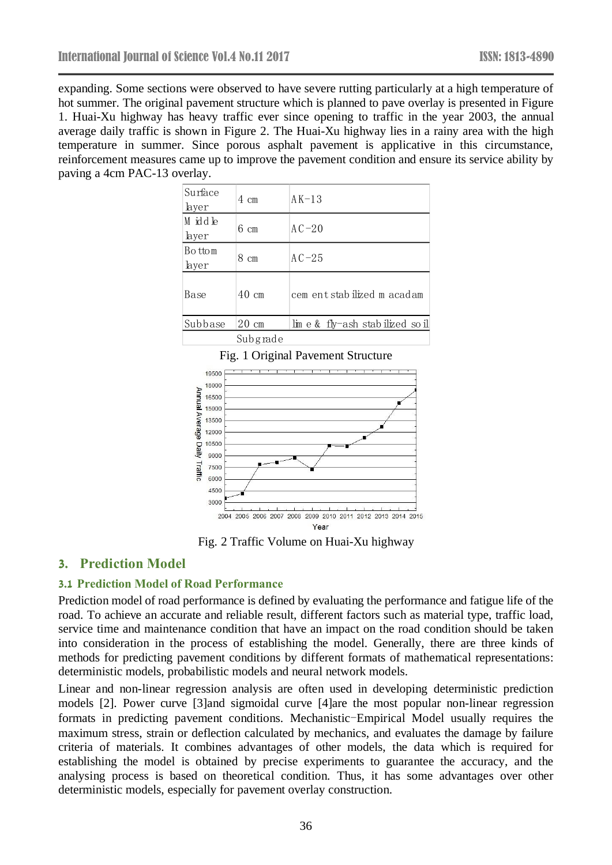expanding. Some sections were observed to have severe rutting particularly at a high temperature of hot summer. The original pavement structure which is planned to pave overlay is presented in Figure 1. Huai-Xu highway has heavy traffic ever since opening to traffic in the year 2003, the annual average daily traffic is shown in Figure 2. The Huai-Xu highway lies in a rainy area with the high temperature in summer. Since porous asphalt pavement is applicative in this circumstance, reinforcement measures came up to improve the pavement condition and ensure its service ability by paving a 4cm PAC-13 overlay.

| Surface<br>layer | 4 cm            | $AK-13$                         |
|------------------|-----------------|---------------------------------|
| M iddle<br>layer | $6 \text{ cm}$  | $AC-20$                         |
| Bottom<br>layer  | 8 cm            | $AC-25$                         |
| Base             | $40 \text{ cm}$ | cem entstabilized m acadam      |
| Subbase          | $20 \text{ cm}$ | $\lim e \&\text{fly-ash stabi}$ |
|                  | Subgrade        |                                 |

Fig. 1 Original Pavement Structure 19500 18000 Annual Average Daily 16500 15000 13500 12000 10500 9000 Traffic 7500 6000 4500 3000 Ŧ.  $\mathbf{L}$ 2004 2005 2006 2007 2008 2009 2010 2011 2012 2013 2014 2015 Year

Fig. 2 Traffic Volume on Huai-Xu highway

# **3. Prediction Model**

### **3.1 Prediction Model of Road Performance**

Prediction model of road performance is defined by evaluating the performance and fatigue life of the road. To achieve an accurate and reliable result, different factors such as material type, traffic load, service time and maintenance condition that have an impact on the road condition should be taken into consideration in the process of establishing the model. Generally, there are three kinds of methods for predicting pavement conditions by different formats of mathematical representations: deterministic models, probabilistic models and neural network models.

Linear and non-linear regression analysis are often used in developing deterministic prediction models [2]. Power curve [3]and sigmoidal curve [4]are the most popular non-linear regression formats in predicting pavement conditions. Mechanistic-Empirical Model usually requires the maximum stress, strain or deflection calculated by mechanics, and evaluates the damage by failure criteria of materials. It combines advantages of other models, the data which is required for establishing the model is obtained by precise experiments to guarantee the accuracy, and the analysing process is based on theoretical condition. Thus, it has some advantages over other deterministic models, especially for pavement overlay construction.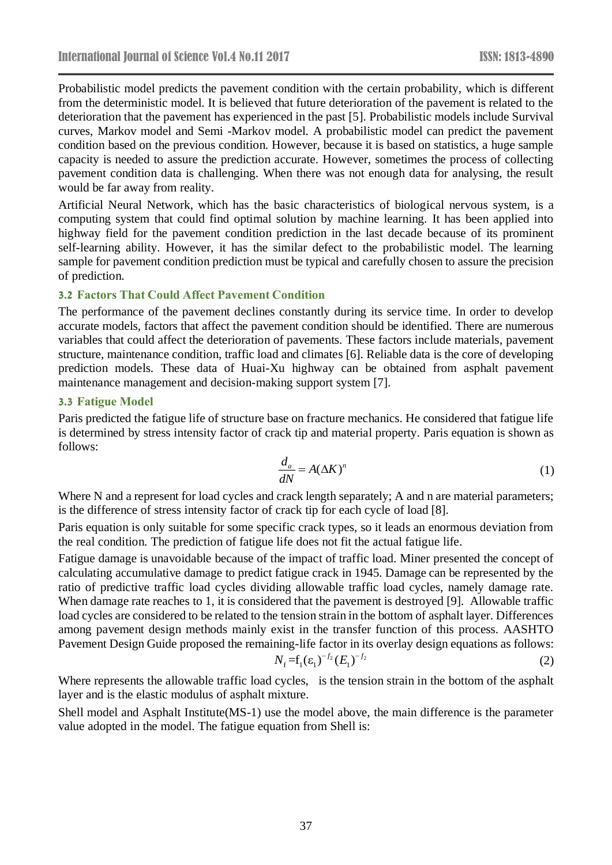Probabilistic model predicts the pavement condition with the certain probability, which is different from the deterministic model. It is believed that future deterioration of the pavement is related to the deterioration that the pavement has experienced in the past [5]. Probabilistic models include Survival curves, Markov model and Semi -Markov model. A probabilistic model can predict the pavement condition based on the previous condition. However, because it is based on statistics, a huge sample capacity is needed to assure the prediction accurate. However, sometimes the process of collecting pavement condition data is challenging. When there was not enough data for analysing, the result would be far away from reality.

Artificial Neural Network, which has the basic characteristics of biological nervous system, is a computing system that could find optimal solution by machine learning. It has been applied into highway field for the pavement condition prediction in the last decade because of its prominent self-learning ability. However, it has the similar defect to the probabilistic model. The learning sample for pavement condition prediction must be typical and carefully chosen to assure the precision of prediction.

#### **3.2 Factors That Could Affect Pavement Condition**

The performance of the pavement declines constantly during its service time. In order to develop accurate models, factors that affect the pavement condition should be identified. There are numerous variables that could affect the deterioration of pavements. These factors include materials, pavement structure, maintenance condition, traffic load and climates [6]. Reliable data is the core of developing prediction models. These data of Huai-Xu highway can be obtained from asphalt pavement maintenance management and decision-making support system [7].

#### **3.3 Fatigue Model**

Paris predicted the fatigue life of structure base on fracture mechanics. He considered that fatigue life is determined by stress intensity factor of crack tip and material property. Paris equation is shown as follows:

$$
\frac{d_a}{dN} = A(\Delta K)^n \tag{1}
$$

Where N and a represent for load cycles and crack length separately; A and n are material parameters; is the difference of stress intensity factor of crack tip for each cycle of load [8].

Paris equation is only suitable for some specific crack types, so it leads an enormous deviation from the real condition. The prediction of fatigue life does not fit the actual fatigue life.

Fatigue damage is unavoidable because of the impact of traffic load. Miner presented the concept of calculating accumulative damage to predict fatigue crack in 1945. Damage can be represented by the ratio of predictive traffic load cycles dividing allowable traffic load cycles, namely damage rate. When damage rate reaches to 1, it is considered that the pavement is destroyed [9]. Allowable traffic load cycles are considered to be related to the tension strain in the bottom of asphalt layer. Differences among pavement design methods mainly exist in the transfer function of this process. AASHTO Pavement Design Guide proposed the remaining-life factor in its overlay design equations as follows:

$$
N_f = f_1(\varepsilon_1)^{-f_2} (E_1)^{-f_2} \tag{2}
$$

Where represents the allowable traffic load cycles, is the tension strain in the bottom of the asphalt layer and is the elastic modulus of asphalt mixture.

Shell model and Asphalt Institute(MS-1) use the model above, the main difference is the parameter value adopted in the model. The fatigue equation from Shell is: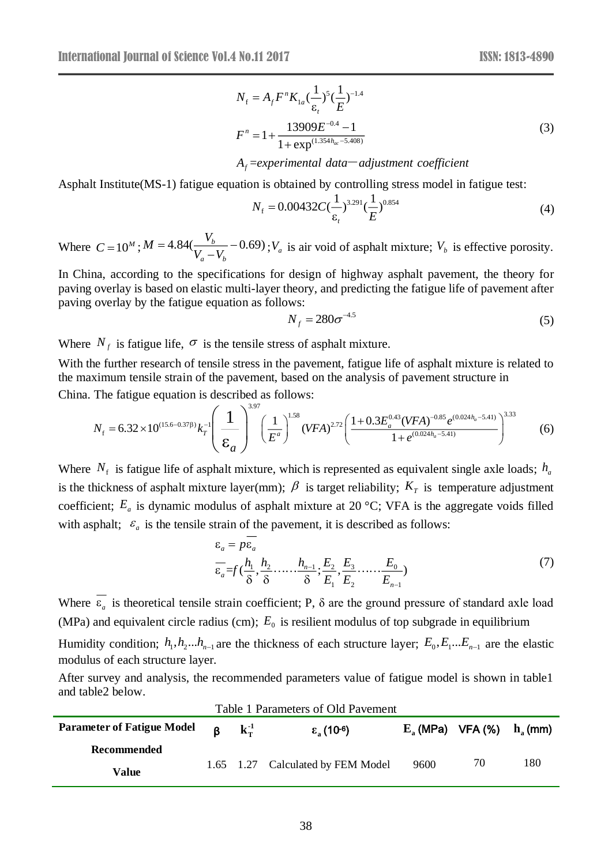(6)

$$
N_{\rm f} = A_{\rm f} F^{n} K_{1a} (\frac{1}{\varepsilon_{\rm t}})^{5} (\frac{1}{E})^{-1.4}
$$
  

$$
F^{n} = 1 + \frac{13909 E^{-0.4} - 1}{1 + \exp^{(1.354h_{ac} - 5.408)}}
$$
 (3)

### = *f experimental data adjustment coeffi A cient* -

Asphalt Institute(MS-1) fatigue equation is obtained by controlling stress model in fatigue test:

$$
N_{\rm f} = 0.00432 C \left(\frac{1}{\varepsilon}\right)^{3.291} \left(\frac{1}{E}\right)^{0.854} \tag{4}
$$

Where  $C = 10^M$ ;  $M = 4.84(\frac{b}{V} - 0.69)$ *<sup>a</sup> b*  $M = 4.84(\frac{V_{\text{A}}}{V_{\text{A}}}$  $V = 4.84(\frac{v}{V} - V_b - 0.69)$ ;  $V_a$  is air void of asphalt mixture;  $V_b$  is effective porosity.

In China, according to the specifications for design of highway asphalt pavement, the theory for paving overlay is based on elastic multi-layer theory, and predicting the fatigue life of pavement after paving overlay by the fatigue equation as follows:

$$
N_f = 280\sigma^{-4.5} \tag{5}
$$

Where  $N_f$  is fatigue life,  $\sigma$  is the tensile stress of asphalt mixture.

*a*

With the further research of tensile stress in the pavement, fatigue life of asphalt mixture is related to the maximum tensile strain of the pavement, based on the analysis of pavement structure in China. The fatigue equation is described as follows:

$$
N_{\rm f}=6.32\times10^{(15.6-0.37\beta)}k_{\rm T}^{-1}\left(\frac{1}{\mathcal{E}_a}\right)^{3.97}\left(\frac{1}{E^a}\right)^{1.58}(VFA)^{2.72}\left(\frac{1+0.3E_a^{0.43}(VFA)^{-0.85}e^{(0.024h_a-5.41)}}{1+e^{(0.024h_a-5.41)}}\right)^{3.33}
$$

Where  $N_f$  is fatigue life of asphalt mixture, which is represented as equivalent single axle loads;  $h_a$ is the thickness of asphalt mixture layer(mm);  $\beta$  is target reliability;  $K<sub>T</sub>$  is temperature adjustment coefficient; *E<sup>a</sup>* is dynamic modulus of asphalt mixture at 20 °C; VFA is the aggregate voids filled with asphalt;  $\varepsilon_a$  is the tensile strain of the pavement, it is described as follows:

$$
\varepsilon_a = p\varepsilon_a
$$
  
\n
$$
\overline{\varepsilon_a} = f\left(\frac{h_1}{\delta}, \frac{h_2}{\delta}, \dots, \frac{h_{n-1}}{\delta}, \frac{E_2}{E_1}, \frac{E_3}{E_2}, \dots, \frac{E_0}{E_{n-1}}\right)
$$
\n(7)

Where  $\varepsilon_a$  is theoretical tensile strain coefficient; P,  $\delta$  are the ground pressure of standard axle load (MPa) and equivalent circle radius (cm);  $E_0$  is resilient modulus of top subgrade in equilibrium Humidity condition;  $h_1, h_2...h_{n-1}$  are the thickness of each structure layer;  $E_0, E_1...E_{n-1}$  are the elastic

modulus of each structure layer.

After survey and analysis, the recommended parameters value of fatigue model is shown in table1 and table2 below.

| <b>Parameter of Fatigue Model</b> | $\mathbf{B}$ | $\mathbf{k}_{\mathrm{T}}^{-1}$ | $\epsilon$ (10-6)                 | $E_a$ (MPa) VFA (%) $h_a$ (mm) |    |     |
|-----------------------------------|--------------|--------------------------------|-----------------------------------|--------------------------------|----|-----|
| Recommended                       |              |                                |                                   |                                |    |     |
| Value                             |              |                                | 1.65 1.27 Calculated by FEM Model | 9600                           | 70 | 180 |

#### Table 1 Parameters of Old Pavement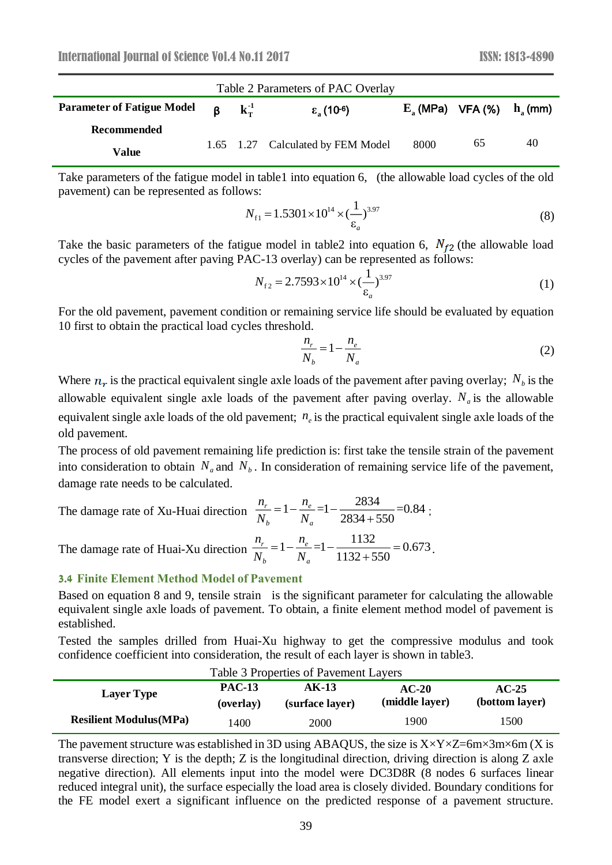| Table 2 Parameters of PAC Overlay |         |                                |                                   |      |                                              |    |
|-----------------------------------|---------|--------------------------------|-----------------------------------|------|----------------------------------------------|----|
| <b>Parameter of Fatigue Model</b> | $\beta$ | $\mathbf{k}_{\mathrm{T}}^{-1}$ | $\epsilon$ (10 <sup>-6</sup> )    |      | $E_{\alpha}$ (MPa) VFA (%) $h_{\alpha}$ (mm) |    |
| Recommended                       |         |                                |                                   |      |                                              |    |
| Value                             |         |                                | 1.65 1.27 Calculated by FEM Model | 8000 | 65                                           | 40 |

Take parameters of the fatigue model in table1 into equation 6, (the allowable load cycles of the old pavement) can be represented as follows:

$$
N_{\rm f1} = 1.5301 \times 10^{14} \times (\frac{1}{\varepsilon_a})^{3.97}
$$
 (8)

Take the basic parameters of the fatigue model in table2 into equation 6,  $N_{f2}$  (the allowable load cycles of the pavement after paving PAC-13 overlay) can be represented as follows:

$$
N_{f2} = 2.7593 \times 10^{14} \times \left(\frac{1}{\varepsilon_a}\right)^{3.97} \tag{1}
$$

For the old pavement, pavement condition or remaining service life should be evaluated by equation 10 first to obtain the practical load cycles threshold.

$$
\frac{n_r}{N_b} = 1 - \frac{n_e}{N_a} \tag{2}
$$

Where  $n_r$  is the practical equivalent single axle loads of the pavement after paving overlay;  $N_b$  is the allowable equivalent single axle loads of the pavement after paving overlay.  $N_a$  is the allowable equivalent single axle loads of the old pavement;  $n_e$  is the practical equivalent single axle loads of the old pavement.

The process of old pavement remaining life prediction is: first take the tensile strain of the pavement into consideration to obtain  $N_a$  and  $N_b$ . In consideration of remaining service life of the pavement, damage rate needs to be calculated.

The damage rate of Xu-Huai direction  $\frac{n_r}{N} = 1 - \frac{n_e}{N} = 1 - \frac{2834}{2834 + 550} = 0.84$ 2834+550 *r e b <sup>a</sup> n n*  $\frac{N_r}{N_s} = 1 - \frac{N_e}{N} = 1 - \frac{2834 + 550}{2834 + 550} = 0.84$ ;

The damage rate of Huai-Xu direction  $\frac{n_r}{N} = 1 - \frac{n_e}{N} = 1 - \frac{1132}{1132 + 550} = 0.673$  $\frac{r}{N_b}$  = 1 -  $\frac{n_e}{N_a}$  = 1 -  $\frac{1132}{1132 + 550}$  $\begin{array}{cc} & I \\ b & N_a \end{array}$  $n_b$  *n*<br> $n_r$  = 1 -  $\frac{n}{r}$  $\frac{n_r}{N_b} = 1 - \frac{n}{N}$  $=1-\frac{n_e}{N_a}=1-\frac{1132}{1132+550}=0.673$ .

#### **3.4 Finite Element Method Model of Pavement**

Based on equation 8 and 9, tensile strain is the significant parameter for calculating the allowable equivalent single axle loads of pavement. To obtain, a finite element method model of pavement is established.

Tested the samples drilled from Huai-Xu highway to get the compressive modulus and took confidence coefficient into consideration, the result of each layer is shown in table3.

| Table 3 Properties of Pavement Layers |                            |                          |                           |                           |  |  |
|---------------------------------------|----------------------------|--------------------------|---------------------------|---------------------------|--|--|
| <b>Layer Type</b>                     | <b>PAC-13</b><br>(overlay) | AK-13<br>(surface layer) | $AC-20$<br>(middle layer) | $AC-25$<br>(bottom layer) |  |  |
| <b>Resilient Modulus (MPa)</b>        | 1400.                      | 2000                     | 1900                      | 1500                      |  |  |

The pavement structure was established in 3D using ABAQUS, the size is  $X \times Y \times Z = 6m \times 3m \times 6m$  (X is transverse direction; Y is the depth; Z is the longitudinal direction, driving direction is along Z axle negative direction). All elements input into the model were DC3D8R (8 nodes 6 surfaces linear reduced integral unit), the surface especially the load area is closely divided. Boundary conditions for the FE model exert a significant influence on the predicted response of a pavement structure.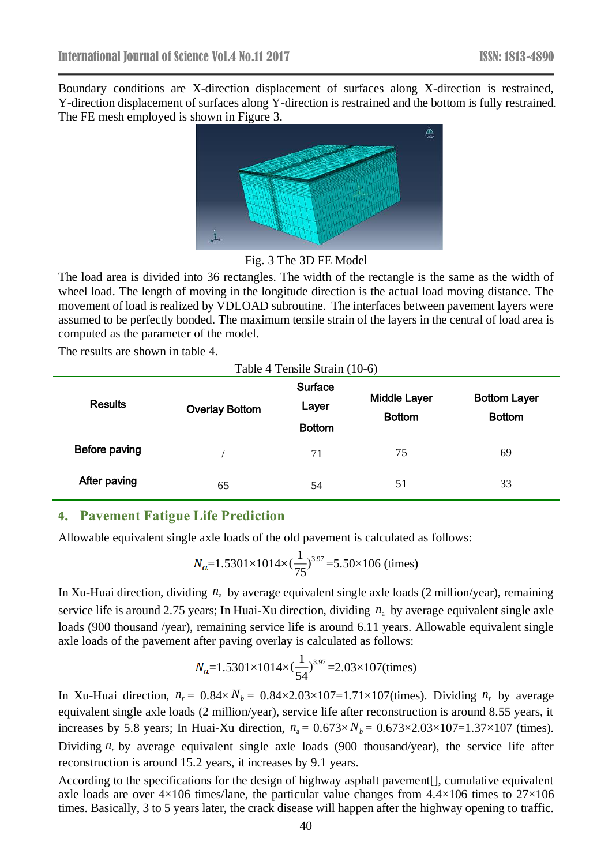Boundary conditions are X-direction displacement of surfaces along X-direction is restrained, Y-direction displacement of surfaces along Y-direction is restrained and the bottom is fully restrained. The FE mesh employed is shown in Figure 3.



Fig. 3 The 3D FE Model

The load area is divided into 36 rectangles. The width of the rectangle is the same as the width of wheel load. The length of moving in the longitude direction is the actual load moving distance. The movement of load is realized by VDLOAD subroutine. The interfaces between pavement layers were assumed to be perfectly bonded. The maximum tensile strain of the layers in the central of load area is computed as the parameter of the model.

The results are shown in table 4.

| Table 4 Tensile Strain (10-6) |                       |                                   |                                      |                                      |  |  |
|-------------------------------|-----------------------|-----------------------------------|--------------------------------------|--------------------------------------|--|--|
| <b>Results</b>                | <b>Overlay Bottom</b> | Surface<br>Layer<br><b>Bottom</b> | <b>Middle Layer</b><br><b>Bottom</b> | <b>Bottom Layer</b><br><b>Bottom</b> |  |  |
| Before paving                 |                       | 71                                | 75                                   | 69                                   |  |  |
| After paving                  | 65                    | 54                                | 51                                   | 33                                   |  |  |

### **4. Pavement Fatigue Life Prediction**

Allowable equivalent single axle loads of the old pavement is calculated as follows:

$$
N_a=1.5301\times1014\times\left(\frac{1}{75}\right)^{3.97}=5.50\times106\text{ (times)}
$$

In Xu-Huai direction, dividing  $n_a$  by average equivalent single axle loads (2 million/year), remaining service life is around 2.75 years; In Huai-Xu direction, dividing  $n_a$  by average equivalent single axle loads (900 thousand /year), remaining service life is around 6.11 years. Allowable equivalent single axle loads of the pavement after paving overlay is calculated as follows:

$$
N_a=1.5301\times1014\times\left(\frac{1}{54}\right)^{3.97}=2.03\times107 \text{(times)}
$$

In Xu-Huai direction,  $n_r = 0.84 \times N_b = 0.84 \times 2.03 \times 107 = 1.71 \times 107$  (times). Dividing  $n_r$  by average equivalent single axle loads (2 million/year), service life after reconstruction is around 8.55 years, it increases by 5.8 years; In Huai-Xu direction,  $n_a = 0.673 \times N_b = 0.673 \times 2.03 \times 107 = 1.37 \times 107$  (times). Dividing  $n_r$  by average equivalent single axle loads (900 thousand/year), the service life after reconstruction is around 15.2 years, it increases by 9.1 years.

According to the specifications for the design of highway asphalt pavement[], cumulative equivalent axle loads are over  $4\times106$  times/lane, the particular value changes from  $4.4\times106$  times to  $27\times106$ times. Basically, 3 to 5 years later, the crack disease will happen after the highway opening to traffic.